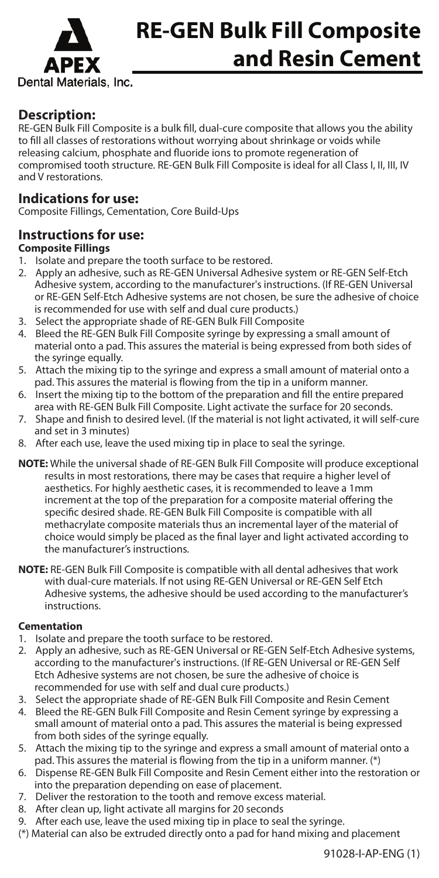

# **RE-GEN Bulk Fill Composite and Resin Cement**

## **Description:**

RE-GEN Bulk Fill Composite is a bulk fill, dual-cure composite that allows you the ability to fill all classes of restorations without worrying about shrinkage or voids while releasing calcium, phosphate and fluoride ions to promote regeneration of compromised tooth structure. RE-GEN Bulk Fill Composite is ideal for all Class I, II, III, IV and V restorations.

## **Indications for use:**

Composite Fillings, Cementation, Core Build-Ups

## **Instructions for use:**

### **Composite Fillings**

- 1. Isolate and prepare the tooth surface to be restored.
- 2. Apply an adhesive, such as RE-GEN Universal Adhesive system or RE-GEN Self-Etch Adhesive system, according to the manufacturer's instructions. (If RE-GEN Universal or RE-GEN Self-Etch Adhesive systems are not chosen, be sure the adhesive of choice is recommended for use with self and dual cure products.)
- 3. Select the appropriate shade of RE-GEN Bulk Fill Composite
- 4. Bleed the RE-GEN Bulk Fill Composite syringe by expressing a small amount of material onto a pad. This assures the material is being expressed from both sides of the syringe equally.
- 5. Attach the mixing tip to the syringe and express a small amount of material onto a pad. This assures the material is flowing from the tip in a uniform manner.
- 6. Insert the mixing tip to the bottom of the preparation and fill the entire prepared
- area with RE-GEN Bulk Fill Composite. Light activate the surface for 20 seconds. 7. Shape and finish to desired level. (If the material is not light activated, it will self-cure and set in 3 minutes)
- 8. After each use, leave the used mixing tip in place to seal the syringe.
- **NOTE:** While the universal shade of RE-GEN Bulk Fill Composite will produce exceptional results in most restorations, there may be cases that require a higher level of aesthetics. For highly aesthetic cases, it is recommended to leave a 1mm increment at the top of the preparation for a composite material offering the specific desired shade. RE-GEN Bulk Fill Composite is compatible with all methacrylate composite materials thus an incremental layer of the material of choice would simply be placed as the final layer and light activated according to the manufacturer's instructions.
- **NOTE:** RE-GEN Bulk Fill Composite is compatible with all dental adhesives that work with dual-cure materials. If not using RE-GEN Universal or RE-GEN Self Etch Adhesive systems, the adhesive should be used according to the manufacturer's instructions.

#### **Cementation**

- 1. Isolate and prepare the tooth surface to be restored.
- 2. Apply an adhesive, such as RE-GEN Universal or RE-GEN Self-Etch Adhesive systems, according to the manufacturer's instructions. (If RE-GEN Universal or RE-GEN Self Etch Adhesive systems are not chosen, be sure the adhesive of choice is recommended for use with self and dual cure products.)
- 3. Select the appropriate shade of RE-GEN Bulk Fill Composite and Resin Cement
- 4. Bleed the RE-GEN Bulk Fill Composite and Resin Cement syringe by expressing a small amount of material onto a pad. This assures the material is being expressed from both sides of the syringe equally.
- 5. Attach the mixing tip to the syringe and express a small amount of material onto a pad. This assures the material is flowing from the tip in a uniform manner. (\*)
- 6. Dispense RE-GEN Bulk Fill Composite and Resin Cement either into the restoration or into the preparation depending on ease of placement.
- 7. Deliver the restoration to the tooth and remove excess material.
- 8. After clean up, light activate all margins for 20 seconds
- 9. After each use, leave the used mixing tip in place to seal the syringe.
- (\*) Material can also be extruded directly onto a pad for hand mixing and placement